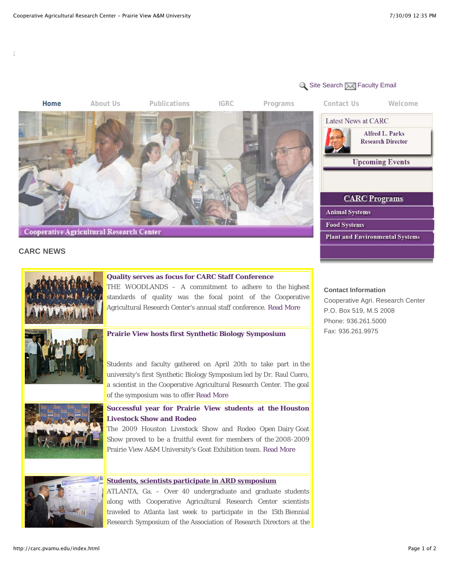

## **CARC NEWS**

;



# **Quality serves as focus for CARC Staff Conference**

THE WOODLANDS - A commitment to adhere to the highest standards of quality was the focal point of the Cooperative Agricultural Research Center's annual staff conference. Read More



#### **Prairie View hosts first Synthetic Biology Symposium**

Students and faculty gathered on April 20th to take part in the university's first Synthetic Biology Symposium led by Dr. Raul Cuero, a scientist in the Cooperative Agricultural Research Center. The goal of the symposium was to offer Read More



## **Successful year for Prairie View students at the Houston Livestock Show and Rodeo**

The 2009 Houston Livestock Show and Rodeo Open Dairy Goat Show proved to be a fruitful event for members of the 2008-2009 Prairie View A&M University's Goat Exhibition team. Read More



#### **Students, scientists participate in ARD symposium**

ATLANTA, Ga. - Over 40 undergraduate and graduate students along with Cooperative Agricultural Research Center scientists traveled to Atlanta last week to participate in the 15th Biennial Research Symposium of the Association of Research Directors at the

## **Contact Information**

Cooperative Agri. Research Center P.O. Box 519, M.S 2008 Phone: 936.261.5000 Fax: 936.261.9975